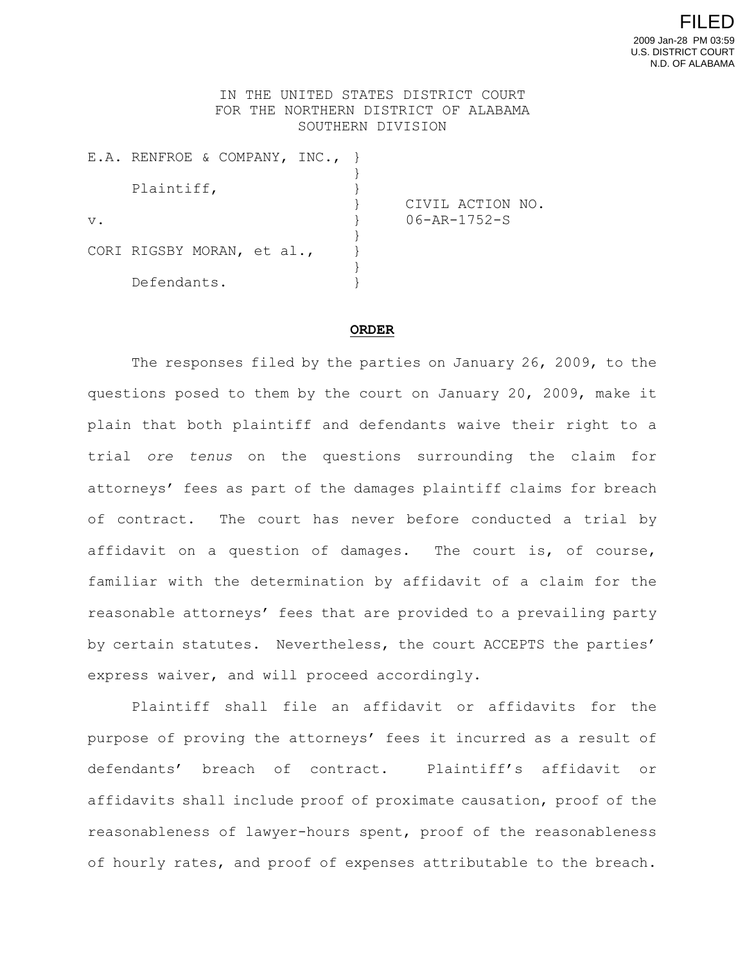## IN THE UNITED STATES DISTRICT COURT FOR THE NORTHERN DISTRICT OF ALABAMA SOUTHERN DIVISION

|       | E.A. RENFROE & COMPANY, INC., } |                                  |
|-------|---------------------------------|----------------------------------|
|       | Plaintiff,                      |                                  |
| $V$ . |                                 | CIVIL ACTION NO.<br>06-AR-1752-S |
|       | CORI RIGSBY MORAN, et al.,      |                                  |
|       | Defendants.                     |                                  |

## **ORDER**

The responses filed by the parties on January 26, 2009, to the questions posed to them by the court on January 20, 2009, make it plain that both plaintiff and defendants waive their right to a trial *ore tenus* on the questions surrounding the claim for attorneys' fees as part of the damages plaintiff claims for breach of contract. The court has never before conducted a trial by affidavit on a question of damages. The court is, of course, familiar with the determination by affidavit of a claim for the reasonable attorneys' fees that are provided to a prevailing party by certain statutes. Nevertheless, the court ACCEPTS the parties' express waiver, and will proceed accordingly.

Plaintiff shall file an affidavit or affidavits for the purpose of proving the attorneys' fees it incurred as a result of defendants' breach of contract. Plaintiff's affidavit or affidavits shall include proof of proximate causation, proof of the reasonableness of lawyer-hours spent, proof of the reasonableness of hourly rates, and proof of expenses attributable to the breach.